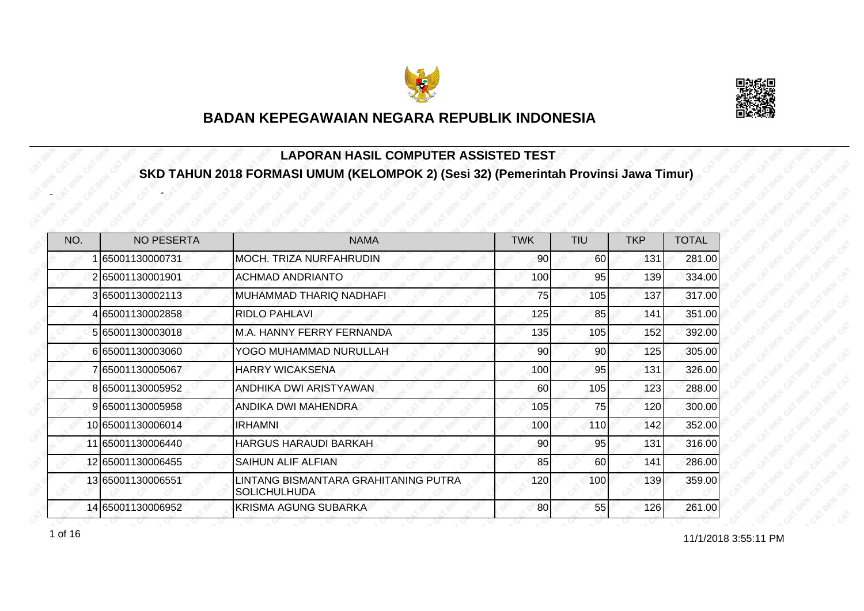



#### **LAPORAN HASIL COMPUTER ASSISTED TEST SKD TAHUN 2018 FORMASI UMUM (KELOMPOK 2) (Sesi 32) (Pemerintah Provinsi Jawa Timur)**

| NO. | <b>NO PESERTA</b> | <b>NAMA</b>                                                 | <b>TWK</b> | <b>TIU</b> | <b>TKP</b> | <b>TOTAL</b> |
|-----|-------------------|-------------------------------------------------------------|------------|------------|------------|--------------|
|     | 65001130000731    | MOCH. TRIZA NURFAHRUDIN                                     | 90         | <b>60</b>  | 131        | 281.00       |
|     | 265001130001901   | <b>ACHMAD ANDRIANTO</b>                                     | 100        | 95         | 139        | 334.00       |
|     | 365001130002113   | MUHAMMAD THARIQ NADHAFI                                     | 75         | 105        | 137        | 317.00       |
|     | 465001130002858   | RIDLO PAHLAVI                                               | 125        | 85         | 141        | 351.00       |
|     | 5 65001130003018  | M.A. HANNY FERRY FERNANDA                                   | 135        | 105        | 152        | 392.00       |
|     | 665001130003060   | YOGO MUHAMMAD NURULLAH                                      | 90         | 90         | 125        | 305.00       |
|     | 7 65001130005067  | <b>HARRY WICAKSENA</b>                                      | 100        | 95         | 131        | 326.00       |
|     | 865001130005952   | ANDHIKA DWI ARISTYAWAN                                      | 60         | 105        | 123        | 288.00       |
|     | 9 65001130005958  | ANDIKA DWI MAHENDRA                                         | 105        | 75         | 120        | 300.00       |
|     | 10 65001130006014 | <b>IRHAMNI</b>                                              | 100        | 110        | 142        | 352.00       |
|     | 11 65001130006440 | <b>HARGUS HARAUDI BARKAH</b>                                | 90         | 95         | 131        | 316.00       |
|     | 12 65001130006455 | SAIHUN ALIF ALFIAN                                          | 85         | 60         | 141        | 286.00       |
|     | 13 65001130006551 | LINTANG BISMANTARA GRAHITANING PUTRA<br><b>SOLICHULHUDA</b> | 120        | 100        | 139        | 359.00       |
|     | 14 65001130006952 | KRISMA AGUNG SUBARKA                                        | 80         | 55         | 126        | 261.00       |

1 of 16

-

-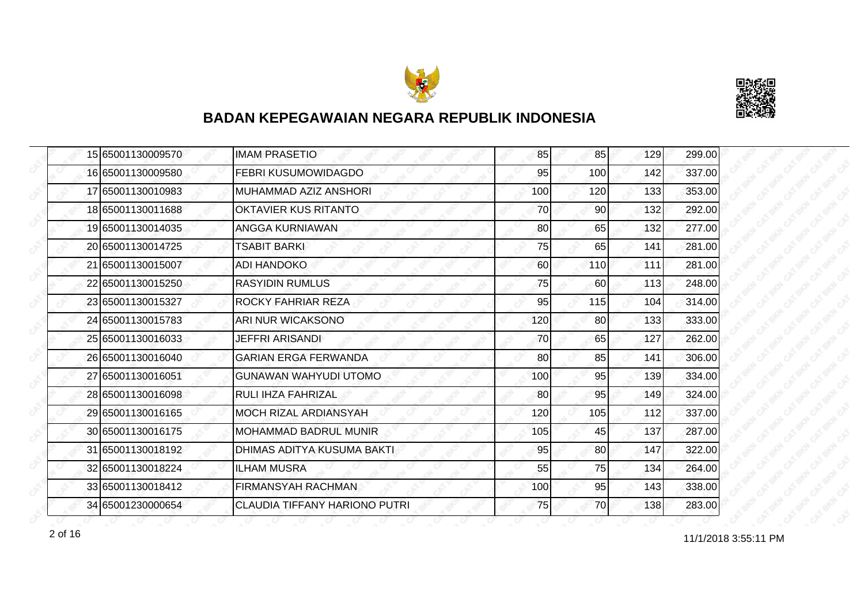



|  | 15 65001130009570 | <b>IMAM PRASETIO</b>          | 85  | 85              | 129 | 299.00 |
|--|-------------------|-------------------------------|-----|-----------------|-----|--------|
|  | 16 65001130009580 | FEBRI KUSUMOWIDAGDO           | 95  | 100             | 142 | 337.00 |
|  | 17 65001130010983 | MUHAMMAD AZIZ ANSHORI         | 100 | 120             | 133 | 353.00 |
|  | 18 65001130011688 | OKTAVIER KUS RITANTO          | 70  | 90 <sub>l</sub> | 132 | 292.00 |
|  | 19 65001130014035 | ANGGA KURNIAWAN               | 80  | 65              | 132 | 277.00 |
|  | 20 65001130014725 | <b>TSABIT BARKI</b>           | 75  | 65              | 141 | 281.00 |
|  | 21 65001130015007 | <b>ADI HANDOKO</b>            | 60  | <b>110</b>      | 111 | 281.00 |
|  | 22 65001130015250 | <b>RASYIDIN RUMLUS</b>        | 75  | 60              | 113 | 248.00 |
|  | 23 65001130015327 | ROCKY FAHRIAR REZA            | 95  | 115             | 104 | 314.00 |
|  | 24 65001130015783 | ARI NUR WICAKSONO             | 120 | 80              | 133 | 333.00 |
|  | 25 65001130016033 | <b>JEFFRI ARISANDI</b>        | 70  | 65              | 127 | 262.00 |
|  | 26 65001130016040 | <b>GARIAN ERGA FERWANDA</b>   | 80  | 85              | 141 | 306.00 |
|  | 27 65001130016051 | <b>GUNAWAN WAHYUDI UTOMO</b>  | 100 | 95              | 139 | 334.00 |
|  | 28 65001130016098 | <b>RULI IHZA FAHRIZAL</b>     | 80  | 95              | 149 | 324.00 |
|  | 29 65001130016165 | <b>MOCH RIZAL ARDIANSYAH</b>  | 120 | 105             | 112 | 337.00 |
|  | 30 65001130016175 | MOHAMMAD BADRUL MUNIR         | 105 | 45              | 137 | 287.00 |
|  | 31 65001130018192 | DHIMAS ADITYA KUSUMA BAKTI    | 95  | 80              | 147 | 322.00 |
|  | 32 65001130018224 | <b>ILHAM MUSRA</b>            | 55  | 75              | 134 | 264.00 |
|  | 33 65001130018412 | <b>FIRMANSYAH RACHMAN</b>     | 100 | 95              | 143 | 338.00 |
|  | 34 65001230000654 | CLAUDIA TIFFANY HARIONO PUTRI | 75  | 70              | 138 | 283.00 |

2 of 16<br>
11/1/2018 3:55:11 PM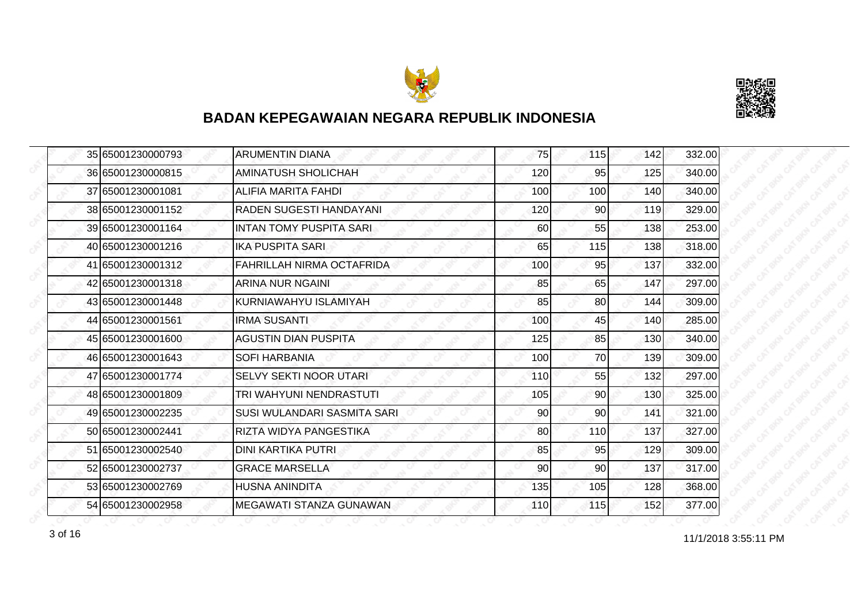



|  | 35 65001230000793 | <b>ARUMENTIN DIANA</b>         | 75  | 115             | 142 | 332.00 |
|--|-------------------|--------------------------------|-----|-----------------|-----|--------|
|  | 36 65001230000815 | <b>AMINATUSH SHOLICHAH</b>     | 120 | 95              | 125 | 340.00 |
|  | 37 65001230001081 | <b>ALIFIA MARITA FAHDI</b>     | 100 | 100             | 140 | 340.00 |
|  | 38 65001230001152 | RADEN SUGESTI HANDAYANI        | 120 | 90 <sub>l</sub> | 119 | 329.00 |
|  | 39 65001230001164 | <b>INTAN TOMY PUSPITA SARI</b> | 60  | 55              | 138 | 253.00 |
|  | 40 65001230001216 | <b>IKA PUSPITA SARI</b>        | 65  | 115             | 138 | 318.00 |
|  | 41 65001230001312 | FAHRILLAH NIRMA OCTAFRIDA      | 100 | 95              | 137 | 332.00 |
|  | 42 65001230001318 | ARINA NUR NGAINI               | 85  | 65              | 147 | 297.00 |
|  | 43 65001230001448 | KURNIAWAHYU ISLAMIYAH          | 85  | 80              | 144 | 309.00 |
|  | 44 65001230001561 | <b>IRMA SUSANTI</b>            | 100 | 45              | 140 | 285.00 |
|  | 45 65001230001600 | <b>AGUSTIN DIAN PUSPITA</b>    | 125 | 85              | 130 | 340.00 |
|  | 46 65001230001643 | <b>SOFI HARBANIA</b>           | 100 | 70              | 139 | 309.00 |
|  | 47 65001230001774 | <b>SELVY SEKTI NOOR UTARI</b>  | 110 | 55              | 132 | 297.00 |
|  | 48 65001230001809 | TRI WAHYUNI NENDRASTUTI        | 105 | 90 <sub>0</sub> | 130 | 325.00 |
|  | 49 65001230002235 | SUSI WULANDARI SASMITA SARI    | 90  | 90              | 141 | 321.00 |
|  | 50 65001230002441 | RIZTA WIDYA PANGESTIKA         | 80  | 110             | 137 | 327.00 |
|  | 51 65001230002540 | <b>DINI KARTIKA PUTRI</b>      | 85  | 95              | 129 | 309.00 |
|  | 52 65001230002737 | <b>GRACE MARSELLA</b>          | 90  | 90              | 137 | 317.00 |
|  | 53 65001230002769 | <b>HUSNA ANINDITA</b>          | 135 | 105             | 128 | 368.00 |
|  | 54 65001230002958 | MEGAWATI STANZA GUNAWAN        | 110 | 115             | 152 | 377.00 |

 $3 \text{ of } 16$  11/1/2018 3:55:11 PM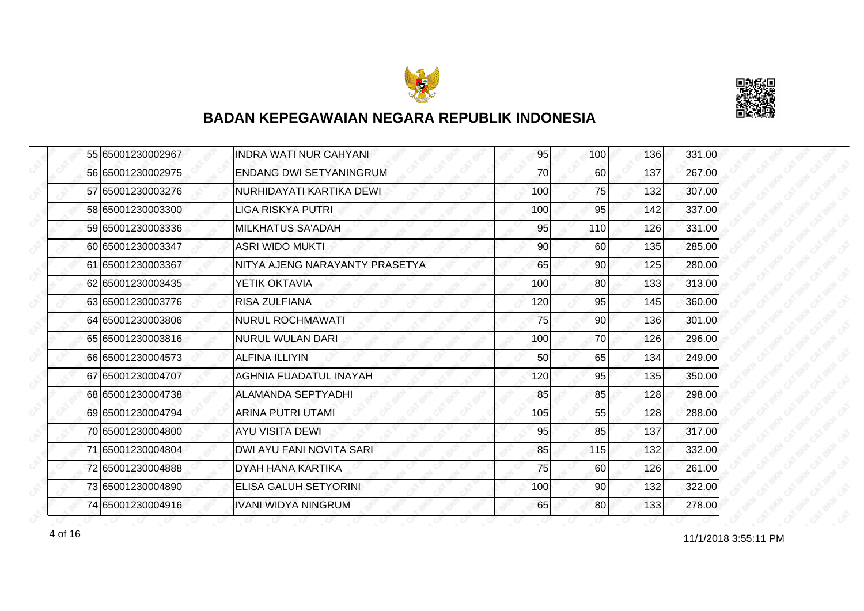



|  | 55 65001230002967 | <b>INDRA WATI NUR CAHYANI</b>  | 95  | 100 | 136 | 331.00 |
|--|-------------------|--------------------------------|-----|-----|-----|--------|
|  | 56 65001230002975 | <b>ENDANG DWI SETYANINGRUM</b> | 70  | 60  | 137 | 267.00 |
|  | 57165001230003276 | NURHIDAYATI KARTIKA DEWI       | 100 | 75  | 132 | 307.00 |
|  | 58 65001230003300 | <b>LIGA RISKYA PUTRI</b>       | 100 | 95  | 142 | 337.00 |
|  | 59 65001230003336 | <b>MILKHATUS SA'ADAH</b>       | 95  | 110 | 126 | 331.00 |
|  | 60165001230003347 | <b>ASRI WIDO MUKTI</b>         | 90  | 60  | 135 | 285.00 |
|  | 61 65001230003367 | NITYA AJENG NARAYANTY PRASETYA | 65  | 90  | 125 | 280.00 |
|  | 62 65001230003435 | YETIK OKTAVIA                  | 100 | 80  | 133 | 313.00 |
|  | 63 65001230003776 | <b>RISA ZULFIANA</b>           | 120 | 95  | 145 | 360.00 |
|  | 64 65001230003806 | <b>NURUL ROCHMAWATI</b>        | 75  | 90  | 136 | 301.00 |
|  | 65 65001230003816 | <b>NURUL WULAN DARI</b>        | 100 | 70  | 126 | 296.00 |
|  | 66 65001230004573 | <b>ALFINA ILLIYIN</b>          | 50  | 65  | 134 | 249.00 |
|  | 67 65001230004707 | AGHNIA FUADATUL INAYAH         | 120 | 95  | 135 | 350.00 |
|  | 68 65001230004738 | ALAMANDA SEPTYADHI             | 85  | 85  | 128 | 298.00 |
|  | 69 65001230004794 | <b>ARINA PUTRI UTAMI</b>       | 105 | 55  | 128 | 288.00 |
|  | 70 65001230004800 | <b>AYU VISITA DEWI</b>         | 95  | 85  | 137 | 317.00 |
|  | 71 65001230004804 | DWI AYU FANI NOVITA SARI       | 85  | 115 | 132 | 332.00 |
|  | 72 65001230004888 | DYAH HANA KARTIKA              | 75  | 60  | 126 | 261.00 |
|  | 73 65001230004890 | ELISA GALUH SETYORINI          | 100 | 90  | 132 | 322.00 |
|  | 74 65001230004916 | <b>IVANI WIDYA NINGRUM</b>     | 65  | 80  | 133 | 278.00 |

4 of 16 10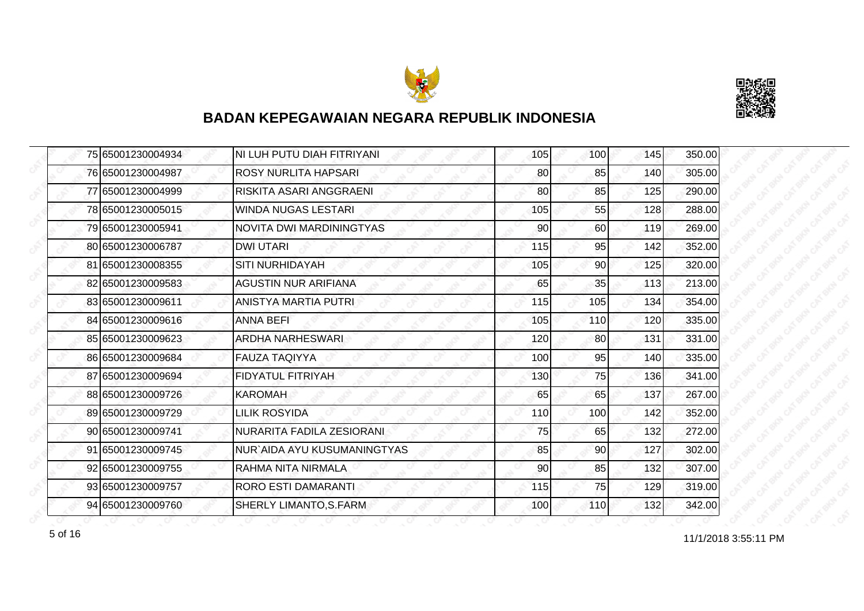



|  | 75 65001230004934 | NI LUH PUTU DIAH FITRIYANI  | 105 | 100 | 145 | 350.00 |
|--|-------------------|-----------------------------|-----|-----|-----|--------|
|  | 76 65001230004987 | <b>ROSY NURLITA HAPSARI</b> | 80  | 85  | 140 | 305.00 |
|  | 77 65001230004999 | RISKITA ASARI ANGGRAENI     | 80  | 85  | 125 | 290.00 |
|  | 78 65001230005015 | <b>WINDA NUGAS LESTARI</b>  | 105 | 55  | 128 | 288.00 |
|  | 79 65001230005941 | NOVITA DWI MARDININGTYAS    | 90  | 60  | 119 | 269.00 |
|  | 80 65001230006787 | <b>DWI UTARI</b>            | 115 | 95  | 142 | 352.00 |
|  | 81 65001230008355 | <b>SITI NURHIDAYAH</b>      | 105 | 90I | 125 | 320.00 |
|  | 82 65001230009583 | AGUSTIN NUR ARIFIANA        | 65  | 35  | 113 | 213.00 |
|  | 83 65001230009611 | ANISTYA MARTIA PUTRI        | 115 | 105 | 134 | 354.00 |
|  | 84 65001230009616 | <b>ANNA BEFI</b>            | 105 | 110 | 120 | 335.00 |
|  | 85 65001230009623 | <b>ARDHA NARHESWARI</b>     | 120 | 80  | 131 | 331.00 |
|  | 86 65001230009684 | <b>FAUZA TAQIYYA</b>        | 100 | 95  | 140 | 335.00 |
|  | 87 65001230009694 | <b>FIDYATUL FITRIYAH</b>    | 130 | 75  | 136 | 341.00 |
|  | 88 65001230009726 | <b>KAROMAH</b>              | 65  | 65  | 137 | 267.00 |
|  | 89 65001230009729 | <b>LILIK ROSYIDA</b>        | 110 | 100 | 142 | 352.00 |
|  | 90 65001230009741 | NURARITA FADILA ZESIORANI   | 75  | 65  | 132 | 272.00 |
|  | 91 65001230009745 | NUR`AIDA AYU KUSUMANINGTYAS | 85  | 90  | 127 | 302.00 |
|  | 92 65001230009755 | RAHMA NITA NIRMALA          | 90  | 85  | 132 | 307.00 |
|  | 93 65001230009757 | <b>RORO ESTI DAMARANTI</b>  | 115 | 75  | 129 | 319.00 |
|  | 94 65001230009760 | SHERLY LIMANTO, S. FARM     | 100 | 110 | 132 | 342.00 |

for the contract of 16 and 11/1/2018 3:55:11 PM 5 of 16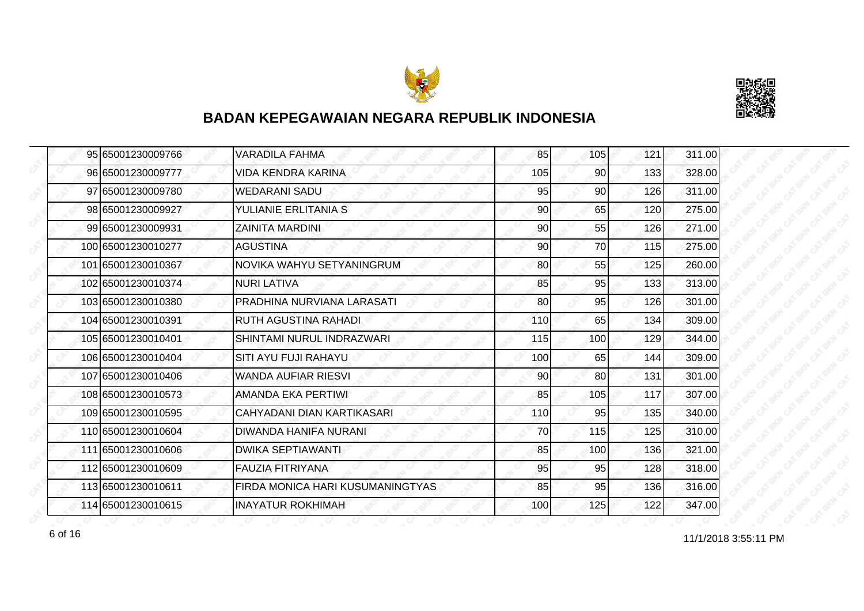



| 95 65001230009766  | <b>VARADILA FAHMA</b>            | 85  | 105 | 121 | 311.00 |
|--------------------|----------------------------------|-----|-----|-----|--------|
| 96 65001230009777  | <b>VIDA KENDRA KARINA</b>        | 105 | 90  | 133 | 328.00 |
| 97 65001230009780  | <b>WEDARANI SADU</b>             | 95  | 90  | 126 | 311.00 |
| 98 65001230009927  | YULIANIE ERLITANIA S             | 90  | 65  | 120 | 275.00 |
| 99 65001230009931  | <b>ZAINITA MARDINI</b>           | 90  | 55  | 126 | 271.00 |
| 100 65001230010277 | <b>AGUSTINA</b>                  | 90  | 70  | 115 | 275.00 |
| 101 65001230010367 | NOVIKA WAHYU SETYANINGRUM        | 80  | 55  | 125 | 260.00 |
| 102 65001230010374 | <b>NURI LATIVA</b>               | 85  | 95  | 133 | 313.00 |
| 103165001230010380 | PRADHINA NURVIANA LARASATI       | 80  | 95  | 126 | 301.00 |
| 104 65001230010391 | RUTH AGUSTINA RAHADI             | 110 | 65  | 134 | 309.00 |
| 105 65001230010401 | SHINTAMI NURUL INDRAZWARI        | 115 | 100 | 129 | 344.00 |
| 106 65001230010404 | SITI AYU FUJI RAHAYU             | 100 | 65  | 144 | 309.00 |
| 107 65001230010406 | <b>WANDA AUFIAR RIESVI</b>       | 90  | 80  | 131 | 301.00 |
| 108 65001230010573 | AMANDA EKA PERTIWI               | 85  | 105 | 117 | 307.00 |
| 109 65001230010595 | CAHYADANI DIAN KARTIKASARI       | 110 | 95  | 135 | 340.00 |
| 110 65001230010604 | DIWANDA HANIFA NURANI            | 70  | 115 | 125 | 310.00 |
| 111 65001230010606 | <b>DWIKA SEPTIAWANTI</b>         | 85  | 100 | 136 | 321.00 |
| 112 65001230010609 | <b>FAUZIA FITRIYANA</b>          | 95  | 95  | 128 | 318.00 |
| 113 65001230010611 | FIRDA MONICA HARI KUSUMANINGTYAS | 85  | 95  | 136 | 316.00 |
| 114 65001230010615 | <b>INAYATUR ROKHIMAH</b>         | 100 | 125 | 122 | 347.00 |

for the contract of 16 and 11/1/2018 3:55:11 PM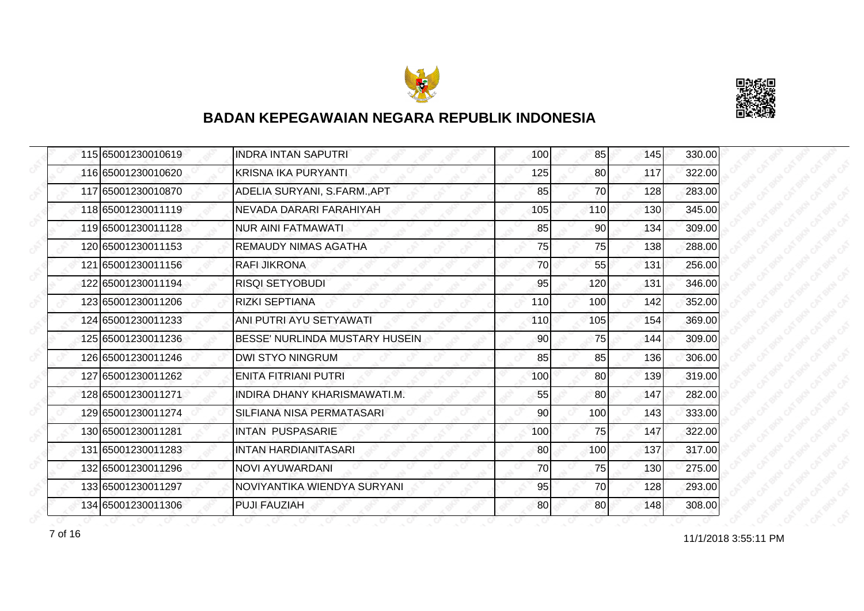



| 115 65001230010619 | <b>INDRA INTAN SAPUTRI</b>          | 100 | 85              | 145 | 330.00 |
|--------------------|-------------------------------------|-----|-----------------|-----|--------|
| 116 65001230010620 | <b>KRISNA IKA PURYANTI</b>          | 125 | 80              | 117 | 322.00 |
| 117 65001230010870 | ADELIA SURYANI, S.FARM., APT        | 85  | 70              | 128 | 283.00 |
| 118 65001230011119 | NEVADA DARARI FARAHIYAH             | 105 | 110             | 130 | 345.00 |
| 119 65001230011128 | <b>NUR AINI FATMAWATI</b>           | 85  | 90              | 134 | 309.00 |
| 120 65001230011153 | <b>REMAUDY NIMAS AGATHA</b>         | 75  | 75              | 138 | 288.00 |
| 121 65001230011156 | <b>RAFI JIKRONA</b>                 | 70  | 55              | 131 | 256.00 |
| 122 65001230011194 | <b>RISQI SETYOBUDI</b>              | 95  | 120             | 131 | 346.00 |
| 123 65001230011206 | <b>RIZKI SEPTIANA</b>               | 110 | 100             | 142 | 352.00 |
| 124 65001230011233 | ANI PUTRI AYU SETYAWATI             | 110 | 105             | 154 | 369.00 |
| 125 65001230011236 | BESSE' NURLINDA MUSTARY HUSEIN      | 90  | 75              | 144 | 309.00 |
| 126 65001230011246 | <b>DWI STYO NINGRUM</b>             | 85  | 85              | 136 | 306.00 |
| 127 65001230011262 | <b>ENITA FITRIANI PUTRI</b>         | 100 | 80 <sup>2</sup> | 139 | 319.00 |
| 128 65001230011271 | <b>INDIRA DHANY KHARISMAWATI.M.</b> | 55  | 80              | 147 | 282.00 |
| 129 65001230011274 | SILFIANA NISA PERMATASARI           | 90  | 100             | 143 | 333.00 |
| 130 65001230011281 | <b>INTAN PUSPASARIE</b>             | 100 | 75              | 147 | 322.00 |
| 131 65001230011283 | <b>INTAN HARDIANITASARI</b>         | 80  | 100             | 137 | 317.00 |
| 132 65001230011296 | <b>NOVI AYUWARDANI</b>              | 70  | 75              | 130 | 275.00 |
| 133 65001230011297 | NOVIYANTIKA WIENDYA SURYANI         | 95  | 70              | 128 | 293.00 |
| 134 65001230011306 | <b>PUJI FAUZIAH</b>                 | 80  | 80              | 148 | 308.00 |

11/1/2018 3:55:11 PM 7 of 16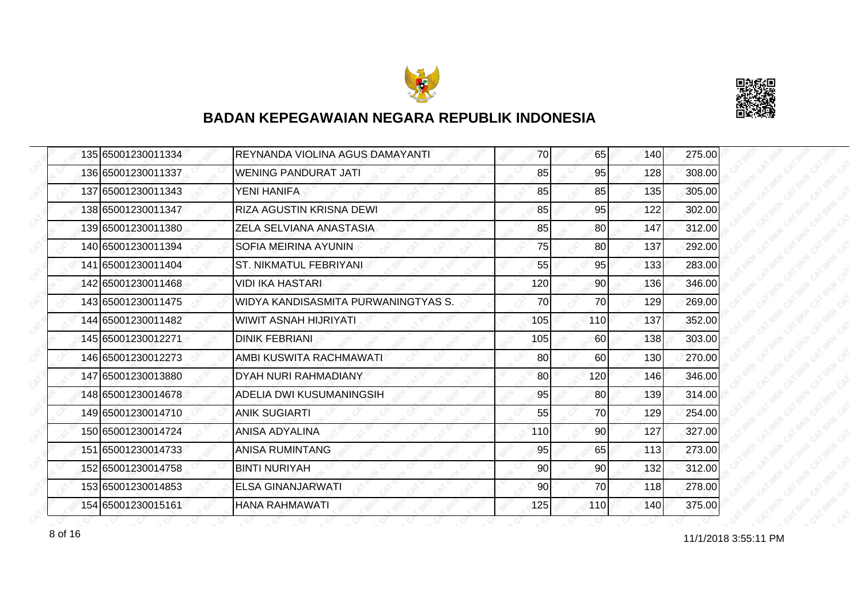



|  | 135 65001230011334 | REYNANDA VIOLINA AGUS DAMAYANTI     | 70  | 65  | 140 | 275.00 |
|--|--------------------|-------------------------------------|-----|-----|-----|--------|
|  | 136 65001230011337 | <b>WENING PANDURAT JATI</b>         | 85  | 95  | 128 | 308.00 |
|  | 137 65001230011343 | YENI HANIFA                         | 85  | 85  | 135 | 305.00 |
|  | 138 65001230011347 | RIZA AGUSTIN KRISNA DEWI            | 85  | 95  | 122 | 302.00 |
|  | 139 65001230011380 | ZELA SELVIANA ANASTASIA             | 85  | 80  | 147 | 312.00 |
|  | 140 65001230011394 | SOFIA MEIRINA AYUNIN                | 75  | 80  | 137 | 292.00 |
|  | 141 65001230011404 | <b>ST. NIKMATUL FEBRIYANI</b>       | 55  | 95  | 133 | 283.00 |
|  | 142 65001230011468 | VIDI IKA HASTARI                    | 120 | 90  | 136 | 346.00 |
|  | 143 65001230011475 | WIDYA KANDISASMITA PURWANINGTYAS S. | 70  | 70  | 129 | 269.00 |
|  | 144 65001230011482 | <b>WIWIT ASNAH HIJRIYATI</b>        | 105 | 110 | 137 | 352.00 |
|  | 145165001230012271 | <b>DINIK FEBRIANI</b>               | 105 | 60  | 138 | 303.00 |
|  | 146 65001230012273 | AMBI KUSWITA RACHMAWATI             | 80  | 60  | 130 | 270.00 |
|  | 147 65001230013880 | DYAH NURI RAHMADIANY                | 80  | 120 | 146 | 346.00 |
|  | 148 65001230014678 | ADELIA DWI KUSUMANINGSIH            | 95  | 80  | 139 | 314.00 |
|  | 149 65001230014710 | <b>ANIK SUGIARTI</b>                | 55  | 70  | 129 | 254.00 |
|  | 150 65001230014724 | <b>ANISA ADYALINA</b>               | 110 | 90  | 127 | 327.00 |
|  | 151 65001230014733 | <b>ANISA RUMINTANG</b>              | 95  | 65  | 113 | 273.00 |
|  | 152165001230014758 | <b>BINTI NURIYAH</b>                | 90  | 90  | 132 | 312.00 |
|  | 153 65001230014853 | <b>ELSA GINANJARWATI</b>            | 90  | 70  | 118 | 278.00 |
|  | 154 65001230015161 | <b>HANA RAHMAWATI</b>               | 125 | 110 | 140 | 375.00 |

8 of 16 and 11/1/2018 3:55:11 PM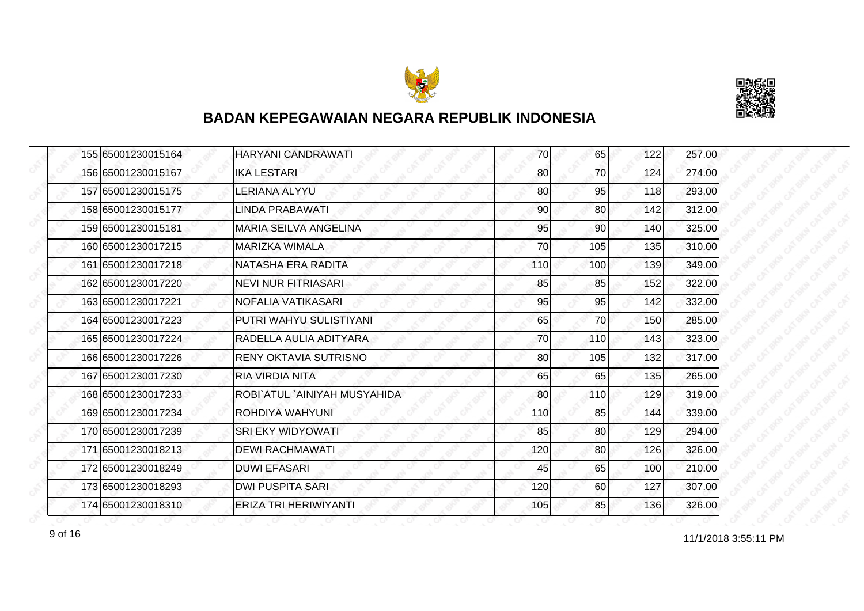



|  | 155 65001230015164   | <b>HARYANI CANDRAWATI</b>    | 70  | 65              | 122 | 257.00 |
|--|----------------------|------------------------------|-----|-----------------|-----|--------|
|  | 156 65001230015167   | <b>IKA LESTARI</b>           | 80  | 70              | 124 | 274.00 |
|  | 157 65001230015175   | LERIANA ALYYU                | 80  | 95              | 118 | 293.00 |
|  | 158 65001230015177   | LINDA PRABAWATI              | 90  | 80 <sup>1</sup> | 142 | 312.00 |
|  | 159 65001230015181   | <b>MARIA SEILVA ANGELINA</b> | 95  | 90              | 140 | 325.00 |
|  | 160 6500 12300 17215 | MARIZKA WIMALA               | 70  | 105             | 135 | 310.00 |
|  | 161 65001230017218   | NATASHA ERA RADITA           | 110 | 100             | 139 | 349.00 |
|  | 162 65001230017220   | <b>NEVI NUR FITRIASARI</b>   | 85  | 85              | 152 | 322.00 |
|  | 163 65001230017221   | NOFALIA VATIKASARI           | 95  | 95              | 142 | 332.00 |
|  | 164 65001230017223   | PUTRI WAHYU SULISTIYANI      | 65  | 70              | 150 | 285.00 |
|  | 165 65001230017224   | RADELLA AULIA ADITYARA       | 70  | 110             | 143 | 323.00 |
|  | 166 65001230017226   | <b>RENY OKTAVIA SUTRISNO</b> | 80  | 105             | 132 | 317.00 |
|  | 167 65001230017230   | <b>RIA VIRDIA NITA</b>       | 65  | 65              | 135 | 265.00 |
|  | 168 65001230017233   | ROBI`ATUL `AINIYAH MUSYAHIDA | 80  | 110             | 129 | 319.00 |
|  | 169 65001230017234   | ROHDIYA WAHYUNI              | 110 | 85              | 144 | 339.00 |
|  | 170 65001230017239   | SRI EKY WIDYOWATI            | 85  | 80 <sup>1</sup> | 129 | 294.00 |
|  | 171 65001230018213   | <b>DEWI RACHMAWATI</b>       | 120 | 80              | 126 | 326.00 |
|  | 172165001230018249   | <b>DUWI EFASARI</b>          | 45  | 65              | 100 | 210.00 |
|  | 173 65001230018293   | <b>DWI PUSPITA SARI</b>      | 120 | 60              | 127 | 307.00 |
|  | 174 65001230018310   | ERIZA TRI HERIWIYANTI        | 105 | 85              | 136 | 326.00 |

9 of 16<br>
11/1/2018 3:55:11 PM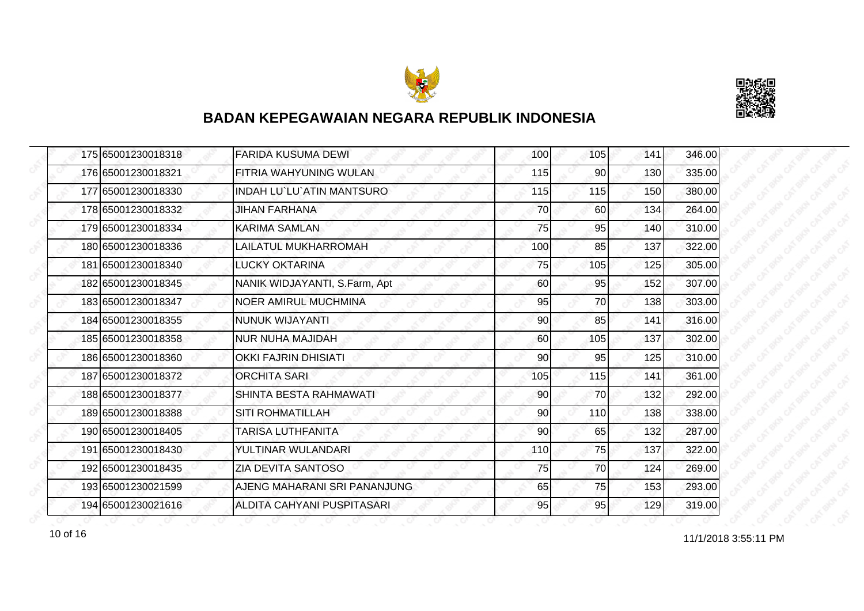



| 175 65001230018318 | <b>FARIDA KUSUMA DEWI</b>     | 100 | 105       | 141 | 346.00 |
|--------------------|-------------------------------|-----|-----------|-----|--------|
| 176 65001230018321 | FITRIA WAHYUNING WULAN        | 115 | 90        | 130 | 335.00 |
| 177 65001230018330 | INDAH LU`LU`ATIN MANTSURO     | 115 | 115       | 150 | 380.00 |
| 178 65001230018332 | <b>JIHAN FARHANA</b>          | 70  | <b>60</b> | 134 | 264.00 |
| 179 65001230018334 | <b>KARIMA SAMLAN</b>          | 75  | 95        | 140 | 310.00 |
| 180 65001230018336 | LAILATUL MUKHARROMAH          | 100 | 85        | 137 | 322.00 |
| 181 65001230018340 | <b>LUCKY OKTARINA</b>         | 75  | 105       | 125 | 305.00 |
| 182 65001230018345 | NANIK WIDJAYANTI, S.Farm, Apt | 60  | 95        | 152 | 307.00 |
| 183 65001230018347 | <b>NOER AMIRUL MUCHMINA</b>   | 95  | 70        | 138 | 303.00 |
| 184 65001230018355 | <b>NUNUK WIJAYANTI</b>        | 90  | 85        | 141 | 316.00 |
| 185 65001230018358 | <b>NUR NUHA MAJIDAH</b>       | 60  | 105       | 137 | 302.00 |
| 186 65001230018360 | <b>OKKI FAJRIN DHISIATI</b>   | 90  | 95        | 125 | 310.00 |
| 187 65001230018372 | <b>ORCHITA SARI</b>           | 105 | 115       | 141 | 361.00 |
| 188 65001230018377 | SHINTA BESTA RAHMAWATI        | 90  | 70        | 132 | 292.00 |
| 189 65001230018388 | <b>SITI ROHMATILLAH</b>       | 90  | 110       | 138 | 338.00 |
| 190 65001230018405 | TARISA LUTHFANITA             | 90  | 65        | 132 | 287.00 |
| 191 65001230018430 | YULTINAR WULANDARI            | 110 | 75        | 137 | 322.00 |
| 192 65001230018435 | ZIA DEVITA SANTOSO            | 75  | 70        | 124 | 269.00 |
| 193 65001230021599 | AJENG MAHARANI SRI PANANJUNG  | 65  | 75        | 153 | 293.00 |
| 194 65001230021616 | ALDITA CAHYANI PUSPITASARI    | 95  | 95        | 129 | 319.00 |

11/1/2018 3:55:11 PM 10 of 16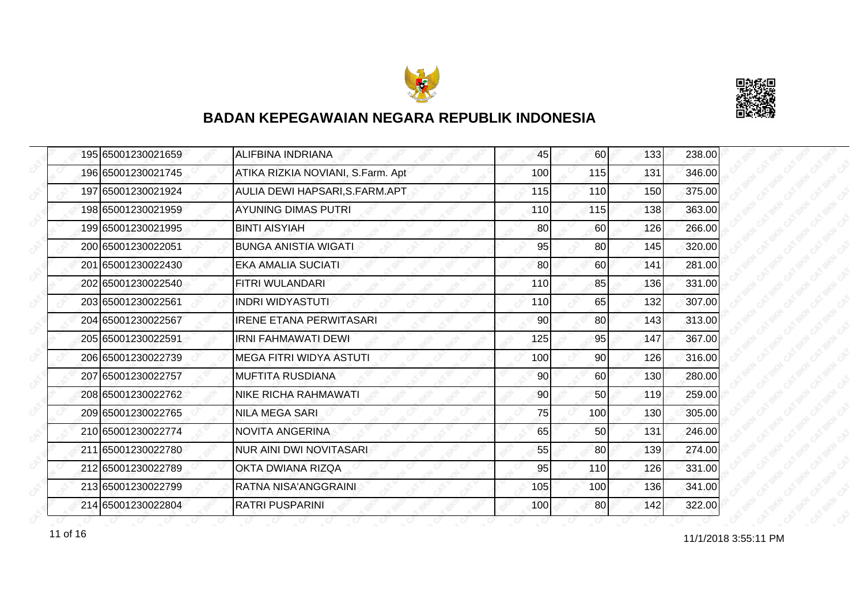



| 195 65001230021659 | <b>ALIFBINA INDRIANA</b>          | 45  | 60              | 133 | 238.00 |
|--------------------|-----------------------------------|-----|-----------------|-----|--------|
| 196 65001230021745 | ATIKA RIZKIA NOVIANI, S.Farm. Apt | 100 | 115             | 131 | 346.00 |
| 197 65001230021924 | AULIA DEWI HAPSARI, S. FARM. APT  | 115 | 110             | 150 | 375.00 |
| 198 65001230021959 | <b>AYUNING DIMAS PUTRI</b>        | 110 | 115             | 138 | 363.00 |
| 199 65001230021995 | <b>BINTI AISYIAH</b>              | 80  | 60              | 126 | 266.00 |
| 200 65001230022051 | <b>BUNGA ANISTIA WIGATI</b>       | 95  | 80              | 145 | 320.00 |
| 201 65001230022430 | <b>EKA AMALIA SUCIATI</b>         | 80  | 60              | 141 | 281.00 |
| 202 65001230022540 | FITRI WULANDARI                   | 110 | 85              | 136 | 331.00 |
| 203 65001230022561 | <b>INDRI WIDYASTUTI</b>           | 110 | 65              | 132 | 307.00 |
| 204 65001230022567 | <b>IRENE ETANA PERWITASARI</b>    | 90  | 80              | 143 | 313.00 |
| 205 65001230022591 | <b>IRNI FAHMAWATI DEWI</b>        | 125 | 95              | 147 | 367.00 |
| 206 65001230022739 | <b>MEGA FITRI WIDYA ASTUTI</b>    | 100 | 90              | 126 | 316.00 |
| 207 65001230022757 | <b>MUFTITA RUSDIANA</b>           | 90  | 60              | 130 | 280.00 |
| 208 65001230022762 | NIKE RICHA RAHMAWATI              | 90  | 50 <sup>1</sup> | 119 | 259.00 |
| 209 65001230022765 | <b>NILA MEGA SARI</b>             | 75  | 100             | 130 | 305.00 |
| 210 65001230022774 | <b>NOVITA ANGERINA</b>            | 65  | 50              | 131 | 246.00 |
| 211 65001230022780 | <b>NUR AINI DWI NOVITASARI</b>    | 55  | 80              | 139 | 274.00 |
| 212 65001230022789 | OKTA DWIANA RIZQA                 | 95  | 110             | 126 | 331.00 |
| 213 65001230022799 | RATNA NISA'ANGGRAINI              | 105 | 100             | 136 | 341.00 |
| 214 65001230022804 | <b>RATRI PUSPARINI</b>            | 100 | 80              | 142 | 322.00 |

11/1/2018 3:55:11 PM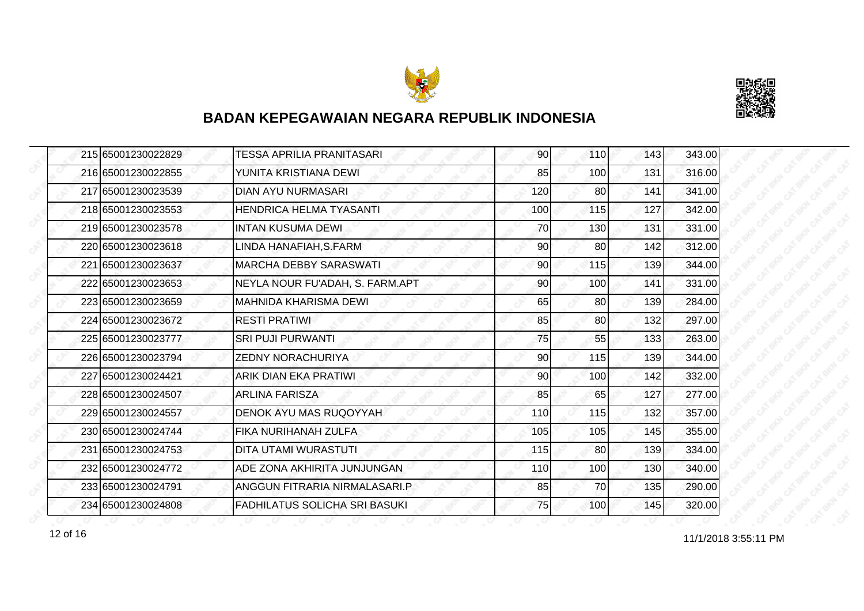



| 215 65001230022829 | TESSA APRILIA PRANITASARI            | 90  | <b>110</b> | 143 | 343.00 |
|--------------------|--------------------------------------|-----|------------|-----|--------|
| 216 65001230022855 | YUNITA KRISTIANA DEWI                | 85  | 100        | 131 | 316.00 |
| 217 65001230023539 | <b>DIAN AYU NURMASARI</b>            | 120 | 80         | 141 | 341.00 |
| 218 65001230023553 | <b>HENDRICA HELMA TYASANTI</b>       | 100 | 115        | 127 | 342.00 |
| 219 65001230023578 | INTAN KUSUMA DEWI.                   | 70  | 130        | 131 | 331.00 |
| 220 65001230023618 | LINDA HANAFIAH, S.FARM               | 90  | 80         | 142 | 312.00 |
| 221 65001230023637 | <b>MARCHA DEBBY SARASWATI</b>        | 90  | 115        | 139 | 344.00 |
| 222 65001230023653 | NEYLA NOUR FU'ADAH, S. FARM.APT      | 90  | 100        | 141 | 331.00 |
| 223 65001230023659 | <b>MAHNIDA KHARISMA DEWI</b>         | 65  | 80         | 139 | 284.00 |
| 224 65001230023672 | <b>RESTI PRATIWI</b>                 | 85  | 80         | 132 | 297.00 |
| 225 65001230023777 | <b>SRI PUJI PURWANTI</b>             | 75  | 55         | 133 | 263.00 |
| 226 65001230023794 | <b>ZEDNY NORACHURIYA</b>             | 90  | 115        | 139 | 344.00 |
| 227 65001230024421 | ARIK DIAN EKA PRATIWI                | 90  | 100        | 142 | 332.00 |
| 228 65001230024507 | <b>ARLINA FARISZA</b>                | 85  | 65         | 127 | 277.00 |
| 229 65001230024557 | DENOK AYU MAS RUQOYYAH               | 110 | 115        | 132 | 357.00 |
| 230 65001230024744 | <b>FIKA NURIHANAH ZULFA</b>          | 105 | 105        | 145 | 355.00 |
| 231 65001230024753 | DITA UTAMI WURASTUTI                 | 115 | 80         | 139 | 334.00 |
| 232 65001230024772 | IADE ZONA AKHIRITA JUNJUNGAN.        | 110 | 100        | 130 | 340.00 |
| 233 65001230024791 | ANGGUN FITRARIA NIRMALASARI.P        | 85  | 70         | 135 | 290.00 |
| 234 65001230024808 | <b>FADHILATUS SOLICHA SRI BASUKI</b> | 75  | 100        | 145 | 320.00 |

11/1/2018 3:55:11 PM 12 of 16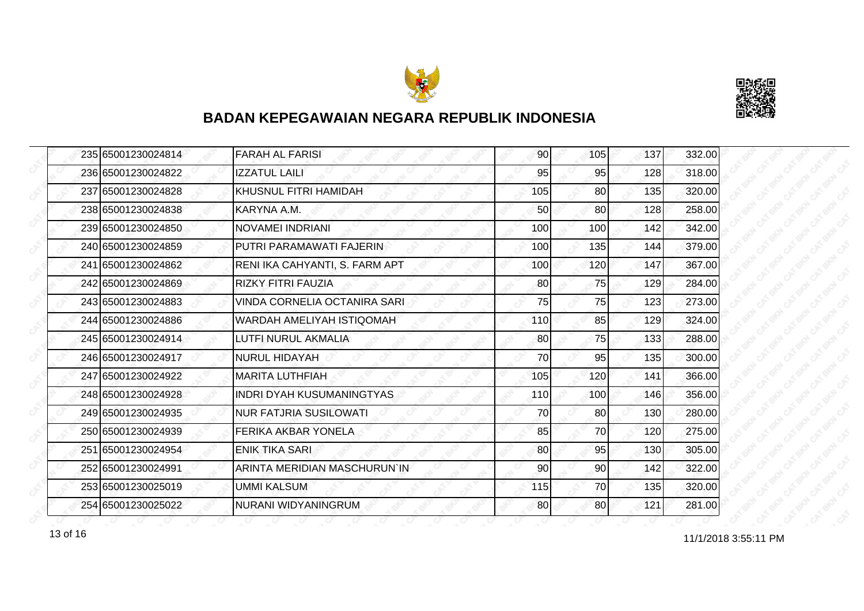



| 235 65001230024814 | <b>FARAH AL FARISI</b>         | 90  | 105 | 137 | 332.00 |
|--------------------|--------------------------------|-----|-----|-----|--------|
| 236 65001230024822 | <b>IZZATUL LAILI</b>           | 95  | 95  | 128 | 318.00 |
| 237 65001230024828 | KHUSNUL FITRI HAMIDAH          | 105 | 80  | 135 | 320.00 |
| 238 65001230024838 | KARYNA A.M.                    | 50  | 80  | 128 | 258.00 |
| 239 65001230024850 | INOVAMEI INDRIANI              | 100 | 100 | 142 | 342.00 |
| 240 65001230024859 | PUTRI PARAMAWATI FAJERIN       | 100 | 135 | 144 | 379.00 |
| 241 65001230024862 | RENI IKA CAHYANTI, S. FARM APT | 100 | 120 | 147 | 367.00 |
| 242 65001230024869 | <b>RIZKY FITRI FAUZIA</b>      | 80  | 75  | 129 | 284.00 |
| 243 65001230024883 | VINDA CORNELIA OCTANIRA SARI   | 75  | 75  | 123 | 273.00 |
| 244 65001230024886 | WARDAH AMELIYAH ISTIQOMAH      | 110 | 85  | 129 | 324.00 |
| 245 65001230024914 | LUTFI NURUL AKMALIA            | 80  | 75  | 133 | 288.00 |
| 246 65001230024917 | NURUL HIDAYAH                  | 70  | 95  | 135 | 300.00 |
| 247 65001230024922 | <b>MARITA LUTHFIAH</b>         | 105 | 120 | 141 | 366.00 |
| 248 65001230024928 | IINDRI DYAH KUSUMANINGTYAS     | 110 | 100 | 146 | 356.00 |
| 249 65001230024935 | <b>NUR FATJRIA SUSILOWATI</b>  | 70  | 80  | 130 | 280.00 |
| 250 65001230024939 | FERIKA AKBAR YONELA            | 85  | 70  | 120 | 275.00 |
| 251 65001230024954 | ENIK TIKA SARI                 | 80  | 95  | 130 | 305.00 |
| 252 65001230024991 | ARINTA MERIDIAN MASCHURUN`IN   | 90  | 90  | 142 | 322.00 |
| 253 65001230025019 | <b>UMMI KALSUM</b>             | 115 | 70  | 135 | 320.00 |
| 254 65001230025022 | NURANI WIDYANINGRUM            | 80  | 80  | 121 | 281.00 |

13 of 16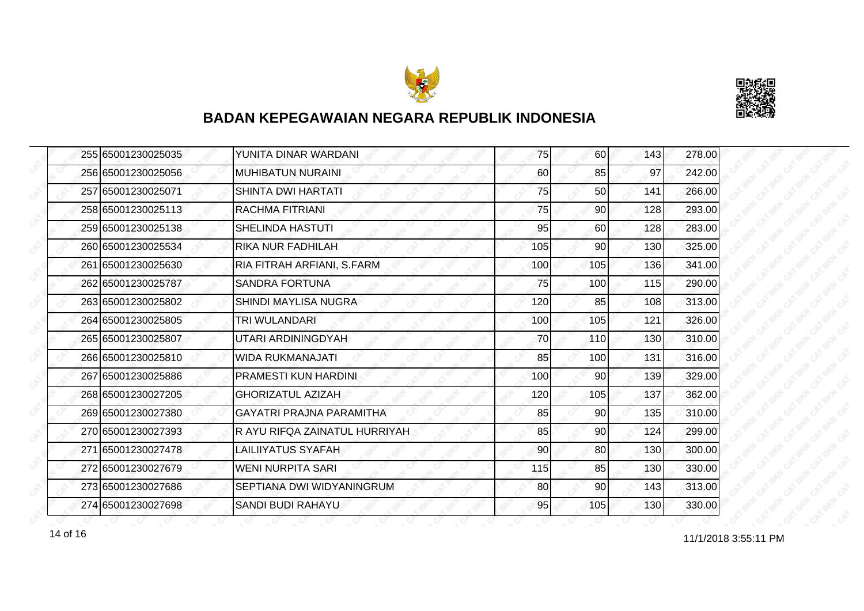



| 255 65001230025035 | YUNITA DINAR WARDANI            | 75  | 60              | 143 | 278.00 |
|--------------------|---------------------------------|-----|-----------------|-----|--------|
| 256 65001230025056 | <b>MUHIBATUN NURAINI</b>        | 60  | 85              | 97  | 242.00 |
| 257 65001230025071 | <b>SHINTA DWI HARTATI</b>       | 75  | 50              | 141 | 266.00 |
| 258 65001230025113 | RACHMA FITRIANI                 | 75  | 90 <sub>l</sub> | 128 | 293.00 |
| 259 65001230025138 | SHELINDA HASTUTI                | 95  | 60              | 128 | 283.00 |
| 260 65001230025534 | RIKA NUR FADHILAH               | 105 | 90              | 130 | 325.00 |
| 261 65001230025630 | RIA FITRAH ARFIANI, S.FARM      | 100 | 105             | 136 | 341.00 |
| 262 65001230025787 | <b>SANDRA FORTUNA</b>           | 75  | 100             | 115 | 290.00 |
| 263 65001230025802 | SHINDI MAYLISA NUGRA            | 120 | 85              | 108 | 313.00 |
| 264 65001230025805 | TRI WULANDARI                   | 100 | 105             | 121 | 326.00 |
| 265 65001230025807 | UTARI ARDININGDYAH              | 70  | 110             | 130 | 310.00 |
| 266 65001230025810 | <b>WIDA RUKMANAJATI</b>         | 85  | 100             | 131 | 316.00 |
| 267 65001230025886 | PRAMESTI KUN HARDINI            | 100 | 90 <sub>0</sub> | 139 | 329.00 |
| 268 65001230027205 | <b>GHORIZATUL AZIZAH</b>        | 120 | 105             | 137 | 362.00 |
| 269 65001230027380 | <b>GAYATRI PRAJNA PARAMITHA</b> | 85  | 90              | 135 | 310.00 |
| 270 65001230027393 | R AYU RIFQA ZAINATUL HURRIYAH   | 85  | 90              | 124 | 299.00 |
| 271 65001230027478 | LAILIIYATUS SYAFAH              | 90  | 80              | 130 | 300.00 |
| 272 65001230027679 | <b>WENI NURPITA SARI</b>        | 115 | 85              | 130 | 330.00 |
| 273 65001230027686 | SEPTIANA DWI WIDYANINGRUM       | 80  | 90              | 143 | 313.00 |
| 274 65001230027698 | SANDI BUDI RAHAYU               | 95  | 105             | 130 | 330.00 |

14 of 16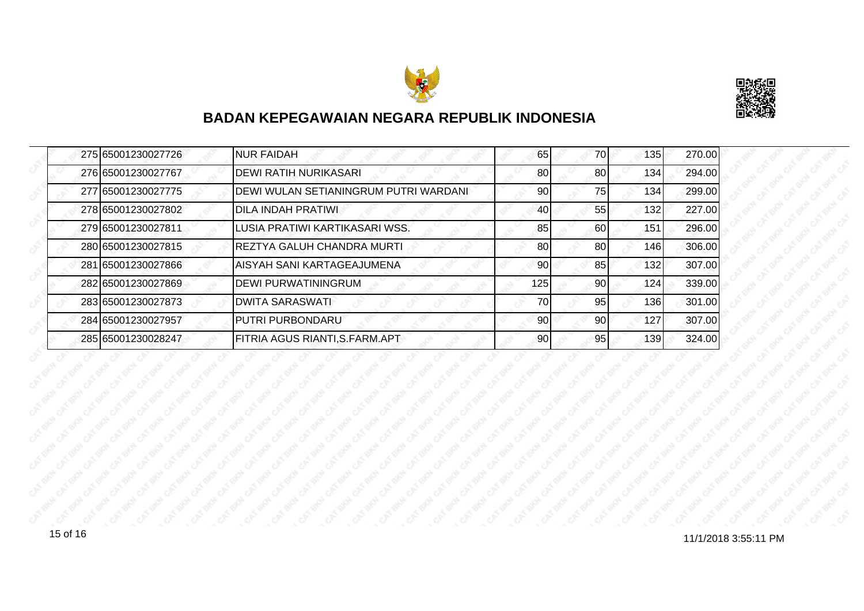



| 275 65001230027726 | <b>NUR FAIDAH</b>                            | 65  | 70 | 135 | 270.00 |
|--------------------|----------------------------------------------|-----|----|-----|--------|
| 276 65001230027767 | <b>DEWI RATIH NURIKASARI</b>                 | 80  | 80 | 134 | 294.00 |
| 277 65001230027775 | <b>DEWI WULAN SETIANINGRUM PUTRI WARDANI</b> | 90  | 75 | 134 | 299.00 |
| 278 65001230027802 | <b>DILA INDAH PRATIWI</b>                    | 40  | 55 | 132 | 227.00 |
| 279 65001230027811 | LUSIA PRATIWI KARTIKASARI WSS.               | 85  | 60 | 151 | 296.00 |
| 280 65001230027815 | <b>REZTYA GALUH CHANDRA MURTI</b>            | 80  | 80 | 146 | 306.00 |
| 281 65001230027866 | <b>AISYAH SANI KARTAGEAJUMENA</b>            | 90  | 85 | 132 | 307.00 |
| 282 65001230027869 | <b>DEWI PURWATININGRUM</b>                   | 125 | 90 | 124 | 339.00 |
| 283 65001230027873 | <b>DWITA SARASWATI</b>                       | 70  | 95 | 136 | 301.00 |
| 284 65001230027957 | <b>PUTRI PURBONDARU</b>                      | 90  | 90 | 127 | 307.00 |
| 285 65001230028247 | FITRIA AGUS RIANTI, S. FARM. APT             | 90  | 95 | 139 | 324.00 |